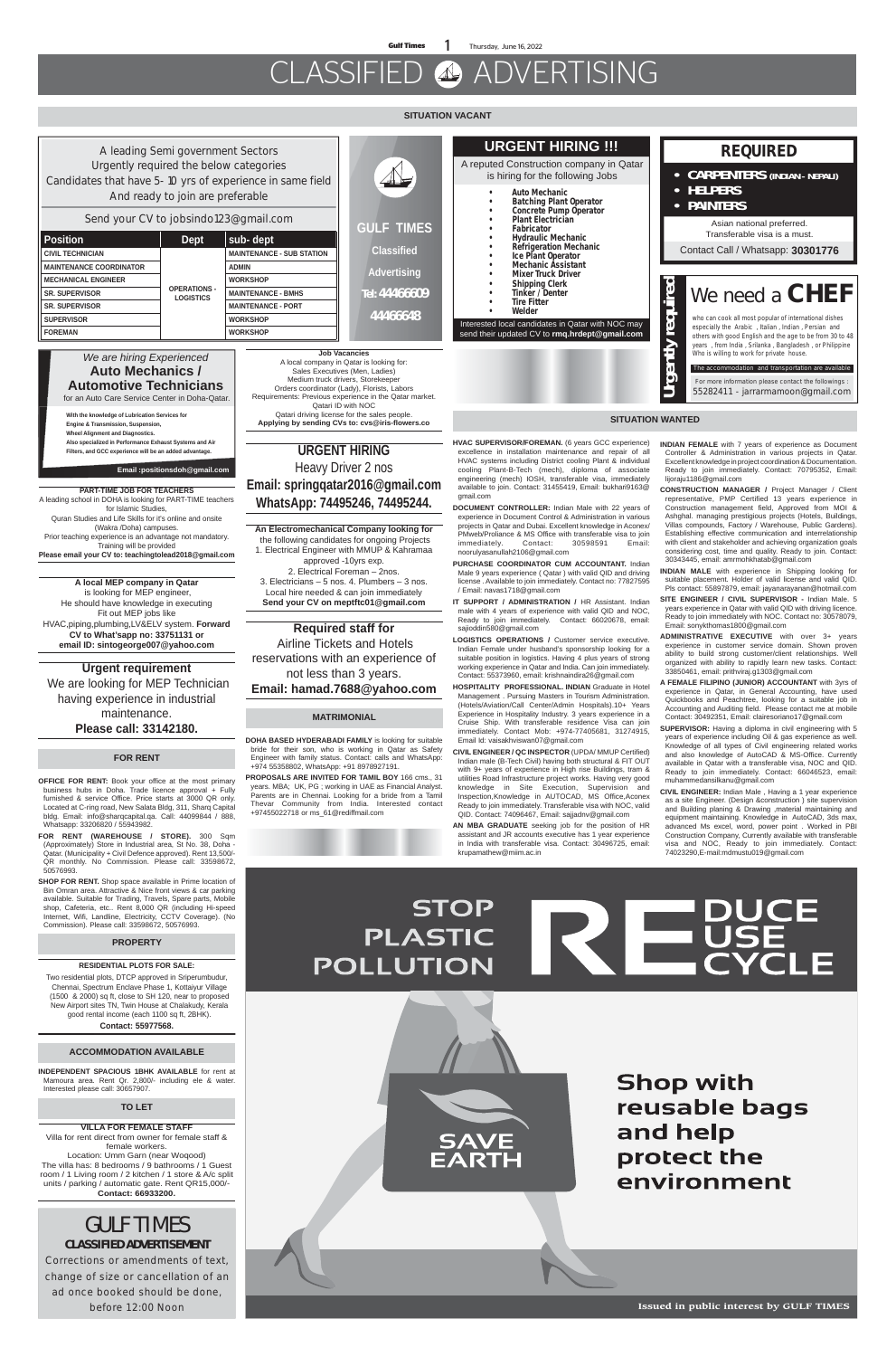**Gulf Times** 1 Thursday, June 16, 2022

# CLASSIFIED ADVERTISING

#### **SITUATION VACANT**

**Issued in public interest by GULF TIMES**

#### **MATRIMONIAL**

#### **TO LET**

#### **VILLA FOR FEMALE STAFF**

Villa for rent direct from owner for female staff & female workers. Location: Umm Garn (near Woqood) The villa has: 8 bedrooms / 9 bathrooms / 1 Guest room / 1 Living room / 2 kitchen / 1 store & A/c split units / parking / automatic gate. Rent QR15,000/- **Contact: 66933200.**

**HVAC SUPERVISOR/FOREMAN.** (6 years GCC experience) excellence in installation maintenance and repair of all HVAC systems including District cooling Plant & individual cooling Plant-B-Tech (mech), diploma of associate engineering (mech) IOSH, transferable visa, immediately available to join. Contact: 31455419, Email: bukhari9163@ gmail.com

**IT SUPPORT / ADMINISTRATION / HR Assistant. Indian** male with 4 years of experience with valid QID and NOC, Ready to join immediately. Contact: 66020678, email: sajioddin580@gmail.com

**DOCUMENT CONTROLLER:** Indian Male with 22 years of experience in Document Control & Administration in various projects in Qatar and Dubai. Excellent knowledge in Aconex/ PMweb/Proliance & MS Office with transferable visa to join immediately. Contact: 30598591 Email: noorulyasanullah2106@gmail.com

**PURCHASE COORDINATOR CUM ACCOUNTANT.** Indian Male 9 years experience ( Qatar ) with valid QID and driving license . Available to join immediately. Contact no: 77827595 / Email: navas1718@gmail.com

**LOGISTICS OPERATIONS /** Customer service executive. Indian Female under husband's sponsorship looking for a suitable position in logistics. Having 4 plus years of strong working experience in Qatar and India. Can join immediately. Contact: 55373960, email: krishnaindira26@gmail.com

**HOSPITALITY PROFESSIONAL. INDIAN** Graduate in Hotel Management . Pursuing Masters in Tourism Administration. (Hotels/Aviation/Call Center/Admin Hospitals).10+ Years Experience in Hospitality Industry. 3 years experience in a Cruise Ship. With transferable residence Visa can join immediately. Contact Mob: +974-77405681, 31274915, Email Id: vaisakhviswan07@gmail.com

**CIVIL ENGINEER / QC INSPECTOR** (UPDA/ MMUP Certified) Indian male (B-Tech Civil) having both structural & FIT OUT with 9+ years of experience in High rise Buildings, tram & utilities Road Infrastructure project works. Having very good knowledge in Site Execution, Supervision and Inspection,Knowledge in AUTOCAD, MS Office,Aconex Ready to join immediately. Transferable visa with NOC, valid QID. Contact: 74096467, Email: sajjadnv@gmail.com **AN MBA GRADUATE** seeking job for the position of HR assistant and JR accounts executive has 1 year experience in India with transferable visa. Contact: 30496725, email: krupamathew@miim.ac.in

**DOHA BASED HYDERABADI FAMILY** is looking for suitable bride for their son, who is working in Qatar as Safety Engineer with family status. Contact: calls and WhatsApp: +974 55358802, WhatsApp: +91 8978927191.

**PROPOSALS ARE INVITED FOR TAMIL BOY** 166 cms., 31 years. MBA; UK, PG ; working in UAE as Financial Analyst. Parents are in Chennai. Looking for a bride from a Tamil Thevar Community from India. Interested contact

+97455022718 or ms\_61@rediffmail.com

## **STOP REPUSE PLASTIC** POLLUTION

| A leading Semi government Sectors                                                                                                       |                                         |                                                                                                                       |                                                                      | <b>URGENT HIRING !!!</b><br>A reputed Construction company in Qatar<br>is hiring for the following Jobs<br><b>Auto Mechanic</b><br>$\bullet$<br><b>Batching Plant Operator</b><br><b>Concrete Pump Operator</b><br><b>Plant Electrician</b> | <b>REQUIRED</b>                                                                                              |
|-----------------------------------------------------------------------------------------------------------------------------------------|-----------------------------------------|-----------------------------------------------------------------------------------------------------------------------|----------------------------------------------------------------------|---------------------------------------------------------------------------------------------------------------------------------------------------------------------------------------------------------------------------------------------|--------------------------------------------------------------------------------------------------------------|
| Urgently required the below categories<br>Candidates that have 5-10 yrs of experience in same field<br>And ready to join are preferable |                                         |                                                                                                                       |                                                                      |                                                                                                                                                                                                                                             | <b>CARPENTERS (INDIAN - NEPALI)</b><br>$\bullet$ .<br>• HELPERS                                              |
| Send your CV to jobsindo123@gmail.com                                                                                                   |                                         |                                                                                                                       |                                                                      |                                                                                                                                                                                                                                             | <b>PAINTERS</b><br>$\bullet$                                                                                 |
| <b>Position</b><br><b>Dept</b>                                                                                                          |                                         | sub-dept                                                                                                              | <b>GULF TIMES</b>                                                    | <b>Fabricator</b><br><b>Hydraulic Mechanic</b>                                                                                                                                                                                              | Asian national preferred.<br>Transferable visa is a must.                                                    |
| <b>CIVIL TECHNICIAN</b>                                                                                                                 |                                         | <b>MAINTENANCE - SUB STATION</b>                                                                                      | <b>Classified</b><br><b>Advertising</b><br>Tel: 44466609<br>44466648 | <b>Refrigeration Mechanic</b><br>Ice Plant Operator<br><b>Mechanic Assistant</b>                                                                                                                                                            | Contact Call / Whatsapp: 30301776                                                                            |
| <b>MAINTENANCE COORDINATOR</b>                                                                                                          |                                         | <b>ADMIN</b>                                                                                                          |                                                                      |                                                                                                                                                                                                                                             |                                                                                                              |
| <b>MECHANICAL ENGINEER</b>                                                                                                              |                                         | <b>WORKSHOP</b>                                                                                                       |                                                                      | <b>Mixer Truck Driver</b><br><b>Shipping Clerk</b>                                                                                                                                                                                          |                                                                                                              |
| <b>SR. SUPERVISOR</b>                                                                                                                   | <b>OPERATIONS -</b><br><b>LOGISTICS</b> | <b>MAINTENANCE - BMHS</b>                                                                                             |                                                                      | <b>Tinker / Denter</b>                                                                                                                                                                                                                      | uired<br>We need a CHEF                                                                                      |
| <b>SR. SUPERVISOR</b>                                                                                                                   |                                         | <b>MAINTENANCE - PORT</b>                                                                                             |                                                                      | <b>Tire Fitter</b><br>Welder                                                                                                                                                                                                                |                                                                                                              |
| <b>SUPERVISOR</b>                                                                                                                       |                                         | <b>WORKSHOP</b>                                                                                                       |                                                                      | Interested local candidates in Qatar with NOC may                                                                                                                                                                                           | who can cook all most popular of international dishes<br>especially the Arabic, Italian, Indian, Persian and |
| <b>FOREMAN</b>                                                                                                                          |                                         | <b>WORKSHOP</b>                                                                                                       |                                                                      | send their updated CV to rmq.hrdept@gmail.com                                                                                                                                                                                               | ک<br>others with good English and the age to be from 30 to 48                                                |
| We are hiring Experienced                                                                                                               |                                         |                                                                                                                       | <b>Job Vacancies</b>                                                 |                                                                                                                                                                                                                                             | years , from India, Srilanka, Bangladesh, or Philippine<br>Who is willing to work for private house.         |
| <b>Auto Mechanics /</b>                                                                                                                 |                                         | A local company in Qatar is looking for:<br>Sales Executives (Men, Ladies)                                            |                                                                      |                                                                                                                                                                                                                                             | 등<br>The accommodation and transportation are available                                                      |
| <b>Automotive Technicians</b>                                                                                                           |                                         | Medium truck drivers, Storekeeper<br>Orders coordinator (Lady), Florists, Labors                                      |                                                                      |                                                                                                                                                                                                                                             | $\bar{a}$<br>For more information please contact the followings :                                            |
| for an Auto Care Service Center in Doha-Qatar.                                                                                          |                                         | Requirements: Previous experience in the Qatar market.                                                                |                                                                      |                                                                                                                                                                                                                                             | 55282411 - jarrarmamoon@gmail.com                                                                            |
| With the knowledge of Lubrication Services for<br>Fundace A Territorial According                                                       |                                         | Qatari ID with NOC<br>Qatari driving license for the sales people.<br>Applying by sending CVs to: cys@iris-flowers.co |                                                                      | <b>SITUATION WANTED</b>                                                                                                                                                                                                                     |                                                                                                              |



**Shop with** reusable bags and help protect the environment

**OFFICE FOR RENT:** Book your office at the most primary business hubs in Doha. Trade licence approval + Fully furnished & service Office. Price starts at 3000 QR only. Located at C-ring road, New Salata Bldg, 311, Sharq Capital bldg. Email: info@sharqcapital.qa. Call: 44099844 / 888, Whatsapp: 33206820 / 55943982.

**FOR RENT (WAREHOUSE / STORE).** 300 Sqm (Approximately) Store in Industrial area, St No. 38, Doha - Qatar. (Municipality + Civil Defence approved). Rent 13,500/- QR monthly. No Commission. Please call: 33598672, 50576993.

**SHOP FOR RENT.** Shop space available in Prime location of Bin Omran area. Attractive & Nice front views & car parking available. Suitable for Trading, Travels, Spare parts, Mobile shop, Cafeteria, etc.. Rent 8,000 QR (including Hi-speed Internet, Wifi, Landline, Electricity, CCTV Coverage). (No Commission). Please call: 33598672, 50576993.

#### **FOR RENT**

### GULF TIMES **CLASSIFIED ADVERTISEMENT**

**Corrections or amendments of text, change of size or cancellation of an ad once booked should be done, before 12:00 Noon**

#### **ACCOMMODATION AVAILABLE**

**INDEPENDENT SPACIOUS 1BHK AVAILABLE** for rent at Mamoura area. Rent Qr. 2,800/- including ele & water. Interested please call: 30657907.

**Applying by sending CVs to: cvs@iris-flowers.co**

**Engine & Transmission, Suspension, Wheel Alignment and Diagnostics. Also specialized in Performance Exhaust Systems and Air Filters, and GCC experience will be an added advantage.** 

**Email :positionsdoh@gmail.com** 

**INDIAN FEMALE** with 7 years of experience as Document Controller & Administration in various projects in Qatar. Excellent knowledge in project coordination & Documentation. Ready to join immediately. Contact: 70795352, Email: lijoraju1186@gmail.com

**CONSTRUCTION MANAGER /** Project Manager / Client representative, PMP Certified 13 years experience in Construction management field, Approved from MOI & Ashghal. managing prestigious projects (Hotels, Buildings, Villas compounds, Factory / Warehouse, Public Gardens). Establishing effective communication and interrelationship with client and stakeholder and achieving organization goals considering cost, time and quality. Ready to join. Contact: 30343445, email: amrmohkhatab@gmail.com

**INDIAN MALE** with experience in Shipping looking for suitable placement. Holder of valid license and valid QID. Pls contact: 55897879, email: jayanarayanan@hotmail.com

**SITE ENGINEER / CIVIL SUPERVISOR -** Indian Male. 5 years experience in Qatar with valid QID with driving licence. Ready to join immediately with NOC. Contact no: 30578079, Email: sonykthomas1800@gmail.com

**ADMINISTRATIVE EXECUTIVE** with over 3+ years experience in customer service domain. Shown proven ability to build strong customer/client relationships. Well organized with ability to rapidly learn new tasks. Contact: 33850461, email: prithviraj.g1303@gmail.com

**A FEMALE FILIPINO (JUNIOR) ACCOUNTANT** with 3yrs of experience in Qatar, in General Accounting, have used Quickbooks and Peachtree, looking for a suitable job in Accounting and Auditing field. Please contact me at mobile Contact: 30492351, Email: clairesoriano17@gmail.com

**SUPERVISOR:** Having a diploma in civil engineering with 5 years of experience including Oil & gas experience as well. Knowledge of all types of Civil engineering related works and also knowledge of AutoCAD & MS-Office. Currently available in Qatar with a transferable visa, NOC and QID. Ready to join immediately. Contact: 66046523, email: muhammedansilkanu@gmail.com

**CIVIL ENGINEER:** Indian Male , Having a 1 year experience as a site Engineer. (Design &construction ) site supervision and Building planing & Drawing ,material maintaining and equipment maintaining. Knowledge in AutoCAD, 3ds max, advanced Ms excel, word, power point . Worked in PBI Construction Company, Currently available with transferable visa and NOC, Ready to join immediately. Contact: 74023290,E-mail:mdmustu019@gmail.com

#### **PROPERTY**

**PART-TIME JOB FOR TEACHERS** A leading school in DOHA is looking for PART-TIME teachers for Islamic Studies, Quran Studies and Life Skills for it's online and onsite (Wakra /Doha) campuses. Prior teaching experience is an advantage not mandatory. Training will be provided **Please email your CV to: teachingtolead2018@gmail.com**

**A local MEP company in Qatar** is looking for MEP engineer, He should have knowledge in executing Fit out MEP jobs like HVAC,piping,plumbing,LV&ELV system. **Forward CV to What'sapp no: 33751131 or email ID: sintogeorge007@yahoo.com**

**Urgent requirement** We are looking for MEP Technician having experience in industrial maintenance. **Please call: 33142180.**

### **URGENT HIRING**

Heavy Driver 2 nos **Email: springqatar2016@gmail.com WhatsApp: 74495246, 74495244.**

**An Electromechanical Company looking for** the following candidates for ongoing Projects 1. Electrical Engineer with MMUP & Kahramaa approved -10yrs exp.

2. Electrical Foreman – 2nos. 3. Electricians – 5 nos. 4. Plumbers – 3 nos. Local hire needed & can join immediately **Send your CV on meptftc01@gmail.com**

**Required staff for** Airline Tickets and Hotels reservations with an experience of not less than 3 years. **Email: hamad.7688@yahoo.com**

#### **RESIDENTIAL PLOTS FOR SALE:**

Two residential plots, DTCP approved in Sriperumbudur, Chennai, Spectrum Enclave Phase 1, Kottaiyur Village (1500 & 2000) sq ft, close to SH 120, near to proposed New Airport sites TN, Twin House at Chalakudy, Kerala good rental income (each 1100 sq ft, 2BHK).

**Contact: 55977568.**